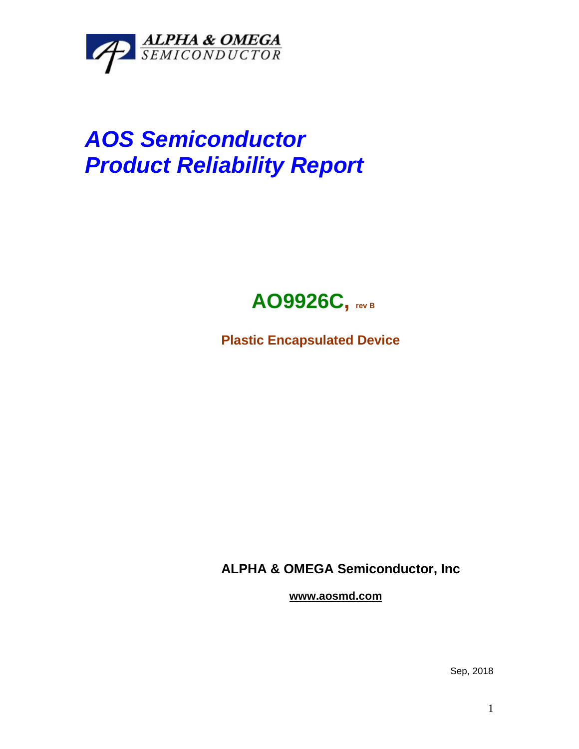

## *AOS Semiconductor Product Reliability Report*



**Plastic Encapsulated Device**

**ALPHA & OMEGA Semiconductor, Inc**

**www.aosmd.com**

Sep, 2018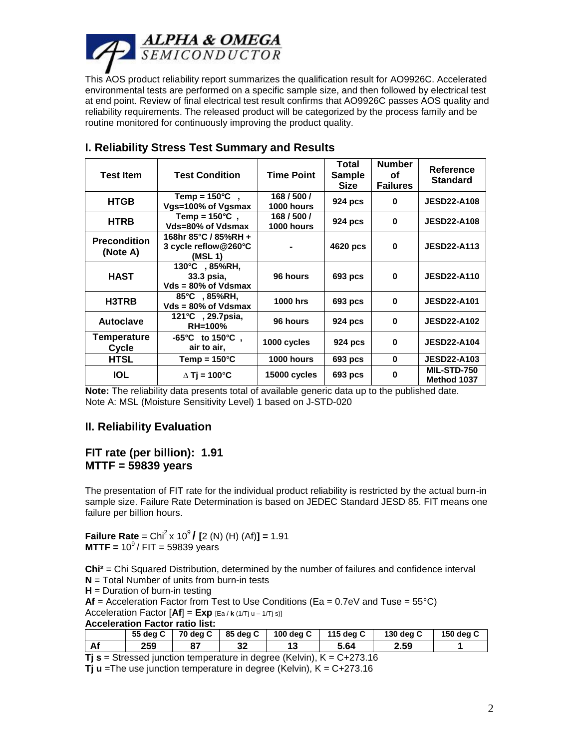

This AOS product reliability report summarizes the qualification result for AO9926C. Accelerated environmental tests are performed on a specific sample size, and then followed by electrical test at end point. Review of final electrical test result confirms that AO9926C passes AOS quality and reliability requirements. The released product will be categorized by the process family and be routine monitored for continuously improving the product quality.

| <b>Test Item</b>                | <b>Test Condition</b>                                               | <b>Time Point</b>      | Total<br><b>Sample</b><br><b>Size</b> | <b>Number</b><br>οf<br><b>Failures</b> | Reference<br><b>Standard</b> |
|---------------------------------|---------------------------------------------------------------------|------------------------|---------------------------------------|----------------------------------------|------------------------------|
| <b>HTGB</b>                     | Temp = $150^{\circ}$ C,<br>Vgs=100% of Vgsmax                       | 168/500/<br>1000 hours | 924 pcs                               | $\bf{0}$                               | <b>JESD22-A108</b>           |
| <b>HTRB</b>                     | Temp = $150^{\circ}$ C,<br>Vds=80% of Vdsmax                        | 168/500/<br>1000 hours | 924 pcs                               | 0                                      | <b>JESD22-A108</b>           |
| <b>Precondition</b><br>(Note A) | 168hr 85°C / 85%RH +<br>3 cycle reflow@260°C<br>(MSL <sub>1</sub> ) |                        | 4620 pcs                              | $\bf{0}$                               | <b>JESD22-A113</b>           |
| <b>HAST</b>                     | 130°C, 85%RH,<br>33.3 psia,<br>$Vds = 80\%$ of Vdsmax               | 96 hours               | 693 pcs                               | $\bf{0}$                               | <b>JESD22-A110</b>           |
| H3TRB                           | 85°C, 85%RH,<br>$Vds = 80\%$ of Vdsmax                              | <b>1000 hrs</b>        | 693 pcs                               | $\bf{0}$                               | <b>JESD22-A101</b>           |
| <b>Autoclave</b>                | 121°C , 29.7 psia,<br><b>RH=100%</b>                                | 96 hours               | 924 pcs                               | 0                                      | <b>JESD22-A102</b>           |
| Temperature<br>Cycle            | $-65^{\circ}$ C to 150 $^{\circ}$ C.<br>air to air,                 | 1000 cycles            | 924 pcs                               | 0                                      | <b>JESD22-A104</b>           |
| <b>HTSL</b>                     | Temp = $150^{\circ}$ C                                              | 1000 hours             | 693 pcs                               | 0                                      | <b>JESD22-A103</b>           |
| <b>IOL</b>                      | $\triangle$ Tj = 100°C                                              | 15000 cycles           | 693 pcs                               | 0                                      | MIL-STD-750<br>Method 1037   |

## **I. Reliability Stress Test Summary and Results**

**Note:** The reliability data presents total of available generic data up to the published date. Note A: MSL (Moisture Sensitivity Level) 1 based on J-STD-020

## **II. Reliability Evaluation**

## **FIT rate (per billion): 1.91 MTTF = 59839 years**

The presentation of FIT rate for the individual product reliability is restricted by the actual burn-in sample size. Failure Rate Determination is based on JEDEC Standard JESD 85. FIT means one failure per billion hours.

**Failure Rate** = Chi<sup>2</sup> x 10<sup>9</sup> **/** [2 (N) (H) (Af)] = 1.91 **MTTF** =  $10^9$  / FIT = 59839 years

**Chi²** = Chi Squared Distribution, determined by the number of failures and confidence interval **N** = Total Number of units from burn-in tests

 $H =$  Duration of burn-in testing

**Af** = Acceleration Factor from Test to Use Conditions (Ea =  $0.7 \text{eV}$  and Tuse =  $55^{\circ}$ C) Acceleration Factor  $[Af] = Exp$   $[Eq / k (1/Tj u - 1/Tj s)]$ 

**Acceleration Factor ratio list:**

|    | 55 deg C | 70 deg C | 85 dea C | 100 deg C | 115 dea C | 130 deg C | 150 dea C |
|----|----------|----------|----------|-----------|-----------|-----------|-----------|
| Af | 259      | 87       | 32       |           | 5.64      | 2.59      |           |

**Tj s** = Stressed junction temperature in degree (Kelvin), K = C+273.16

**Tj u** =The use junction temperature in degree (Kelvin), K = C+273.16